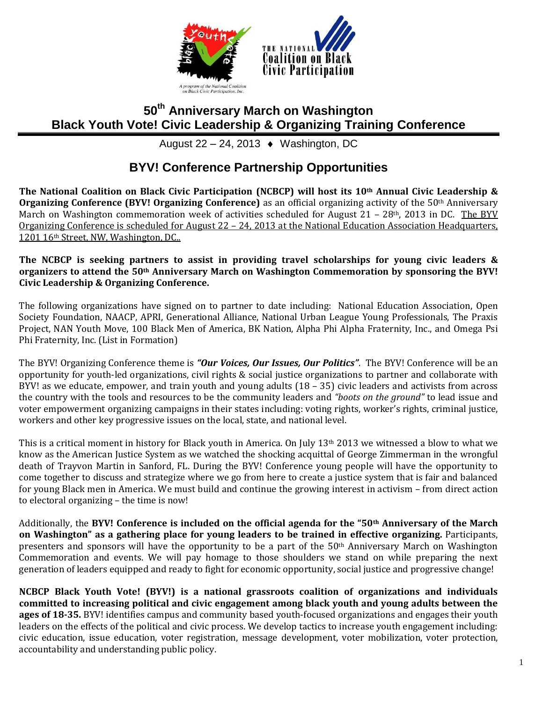

# **50th Anniversary March on Washington Black Youth Vote! Civic Leadership & Organizing Training Conference**

August 22 – 24, 2013  $\leftrightarrow$  Washington, DC

# **BYV! Conference Partnership Opportunities**

**The National Coalition on Black Civic Participation (NCBCP) will host its 10th Annual Civic Leadership & Organizing Conference (BYV! Organizing Conference)** as an official organizing activity of the 50<sup>th</sup> Anniversary March on Washington commemoration week of activities scheduled for August 21 – 28<sup>th</sup>, 2013 in DC. The BYV Organizing Conference is scheduled for August 22 – 24, 2013 at the National Education Association Headquarters, 1201 16th Street, NW, Washington, DC..

#### **The NCBCP is seeking partners to assist in providing travel scholarships for young civic leaders & organizers to attend the 50th Anniversary March on Washington Commemoration by sponsoring the BYV! Civic Leadership & Organizing Conference.**

The following organizations have signed on to partner to date including: National Education Association, Open Society Foundation, NAACP, APRI, Generational Alliance, National Urban League Young Professionals, The Praxis Project, NAN Youth Move, 100 Black Men of America, BK Nation, Alpha Phi Alpha Fraternity, Inc., and Omega Psi Phi Fraternity, Inc. (List in Formation)

The BYV! Organizing Conference theme is *"Our Voices, Our Issues, Our Politics"*. The BYV! Conference will be an opportunity for youth-led organizations, civil rights & social justice organizations to partner and collaborate with BYV! as we educate, empower, and train youth and young adults (18 – 35) civic leaders and activists from across the country with the tools and resources to be the community leaders and *"boots on the ground"* to lead issue and voter empowerment organizing campaigns in their states including: voting rights, worker's rights, criminal justice, workers and other key progressive issues on the local, state, and national level.

This is a critical moment in history for Black youth in America. On July  $13<sup>th</sup> 2013$  we witnessed a blow to what we know as the American Justice System as we watched the shocking acquittal of George Zimmerman in the wrongful death of Trayvon Martin in Sanford, FL. During the BYV! Conference young people will have the opportunity to come together to discuss and strategize where we go from here to create a justice system that is fair and balanced for young Black men in America. We must build and continue the growing interest in activism – from direct action to electoral organizing – the time is now!

Additionally, the **BYV! Conference is included on the official agenda for the "50th Anniversary of the March on Washington" as a gathering place for young leaders to be trained in effective organizing.** Participants, presenters and sponsors will have the opportunity to be a part of the 50th Anniversary March on Washington Commemoration and events. We will pay homage to those shoulders we stand on while preparing the next generation of leaders equipped and ready to fight for economic opportunity, social justice and progressive change!

**NCBCP Black Youth Vote! (BYV!) is a national grassroots coalition of organizations and individuals committed to increasing political and civic engagement among black youth and young adults between the ages of 18-35.** BYV! identifies campus and community based youth-focused organizations and engages their youth leaders on the effects of the political and civic process. We develop tactics to increase youth engagement including: civic education, issue education, voter registration, message development, voter mobilization, voter protection, accountability and understanding public policy.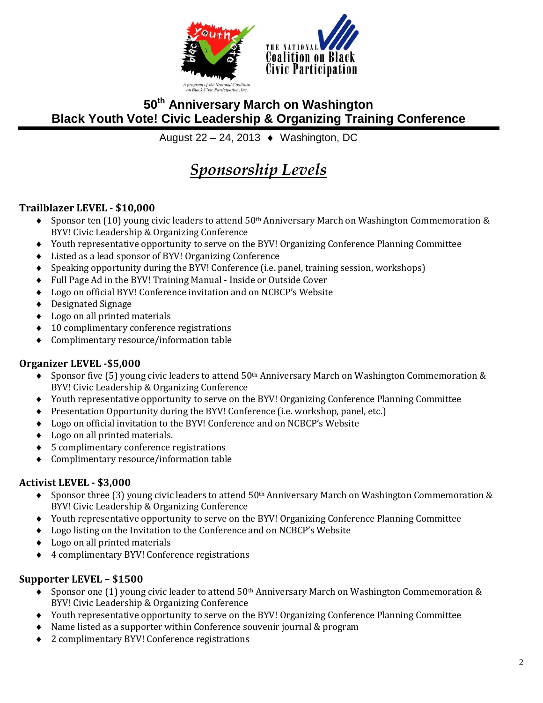



# **50th Anniversary March on Washington Black Youth Vote! Civic Leadership & Organizing Training Conference**

August 22 – 24, 2013  $\leftrightarrow$  Washington, DC

# *Sponsorship Levels*

## **Trailblazer LEVEL - \$10,000**

- $\bullet$  Sponsor ten (10) young civic leaders to attend 50<sup>th</sup> Anniversary March on Washington Commemoration & BYV! Civic Leadership & Organizing Conference
- Youth representative opportunity to serve on the BYV! Organizing Conference Planning Committee
- Listed as a lead sponsor of BYV! Organizing Conference
- Speaking opportunity during the BYV! Conference (i.e. panel, training session, workshops)
- Full Page Ad in the BYV! Training Manual Inside or Outside Cover
- Logo on official BYV! Conference invitation and on NCBCP's Website
- Designated Signage
- Logo on all printed materials
- ◆ 10 complimentary conference registrations
- Complimentary resource/information table

## **Organizer LEVEL -\$5,000**

- ◆ Sponsor five (5) young civic leaders to attend 50<sup>th</sup> Anniversary March on Washington Commemoration & BYV! Civic Leadership & Organizing Conference
- Youth representative opportunity to serve on the BYV! Organizing Conference Planning Committee
- Presentation Opportunity during the BYV! Conference (i.e. workshop, panel, etc.)
- Logo on official invitation to the BYV! Conference and on NCBCP's Website
- Logo on all printed materials.
- 5 complimentary conference registrations
- Complimentary resource/information table

## **Activist LEVEL - \$3,000**

- $\bullet$  Sponsor three (3) young civic leaders to attend 50<sup>th</sup> Anniversary March on Washington Commemoration & BYV! Civic Leadership & Organizing Conference
- Youth representative opportunity to serve on the BYV! Organizing Conference Planning Committee
- Logo listing on the Invitation to the Conference and on NCBCP's Website
- Logo on all printed materials
- 4 complimentary BYV! Conference registrations

## **Supporter LEVEL – \$1500**

- Sponsor one (1) young civic leader to attend  $50<sup>th</sup>$  Anniversary March on Washington Commemoration & BYV! Civic Leadership & Organizing Conference
- Youth representative opportunity to serve on the BYV! Organizing Conference Planning Committee
- Name listed as a supporter within Conference souvenir journal & program
- ◆ 2 complimentary BYV! Conference registrations